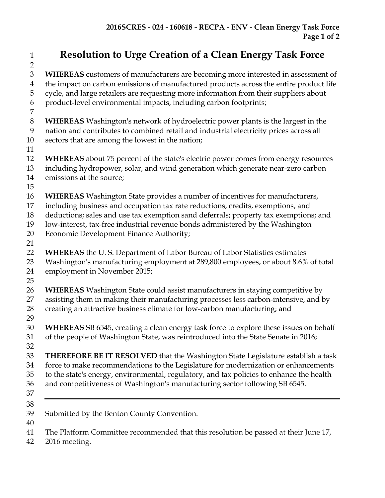## **Resolution to Urge Creation of a Clean Energy Task Force**

 **WHEREAS** customers of manufacturers are becoming more interested in assessment of the impact on carbon emissions of manufactured products across the entire product life cycle, and large retailers are requesting more information from their suppliers about product-level environmental impacts, including carbon footprints; **WHEREAS** Washington's network of hydroelectric power plants is the largest in the nation and contributes to combined retail and industrial electricity prices across all sectors that are among the lowest in the nation; **WHEREAS** about 75 percent of the state's electric power comes from energy resources including hydropower, solar, and wind generation which generate near-zero carbon emissions at the source; **WHEREAS** Washington State provides a number of incentives for manufacturers, including business and occupation tax rate reductions, credits, exemptions, and deductions; sales and use tax exemption sand deferrals; property tax exemptions; and low-interest, tax-free industrial revenue bonds administered by the Washington 20 Economic Development Finance Authority; **WHEREAS** the U. S. Department of Labor Bureau of Labor Statistics estimates Washington's manufacturing employment at 289,800 employees, or about 8.6% of total employment in November 2015; **WHEREAS** Washington State could assist manufacturers in staying competitive by assisting them in making their manufacturing processes less carbon-intensive, and by creating an attractive business climate for low-carbon manufacturing; and **WHEREAS** SB 6545, creating a clean energy task force to explore these issues on behalf of the people of Washington State, was reintroduced into the State Senate in 2016; **THEREFORE BE IT RESOLVED** that the Washington State Legislature establish a task force to make recommendations to the Legislature for modernization or enhancements to the state's energy, environmental, regulatory, and tax policies to enhance the health and competitiveness of Washington's manufacturing sector following SB 6545. Submitted by the Benton County Convention. The Platform Committee recommended that this resolution be passed at their June 17,

2016 meeting.